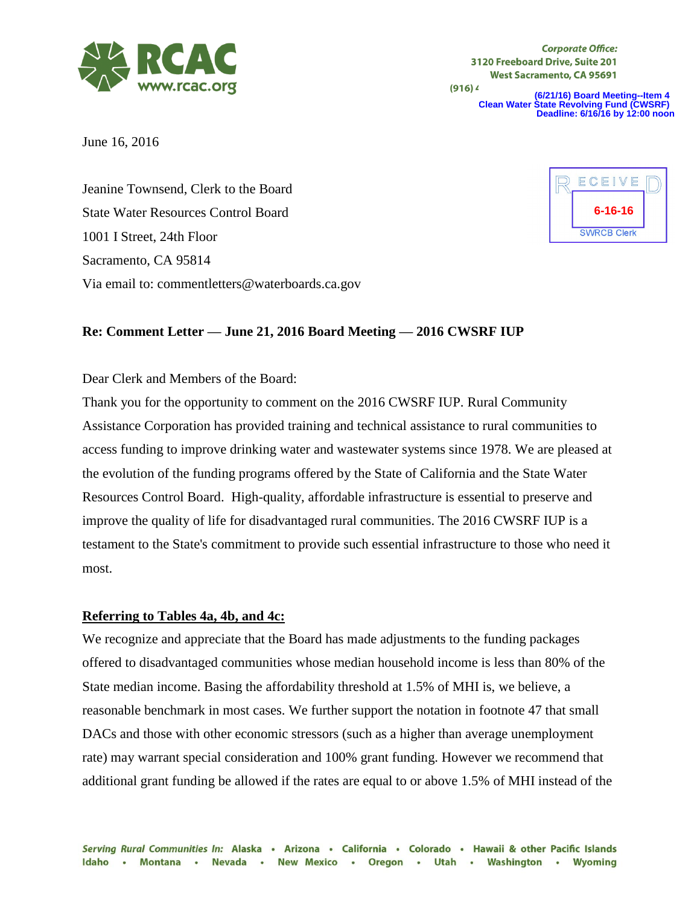

**Corporate Office:** 3120 Freeboard Drive, Suite 201 **West Sacramento, CA 95691** 

 $(916)4$ 

**(6/21/16) Board Meeting--Item 4 Clean Water State Revolving Fund (CWSRF) Deadline: 6/16/16 by 12:00 noon**

June 16, 2016

Jeanine Townsend, Clerk to the Board State Water Resources Control Board 1001 I Street, 24th Floor Sacramento, CA 95814 Via email to: commentletters@waterboards.ca.gov



## **Re: Comment Letter — June 21, 2016 Board Meeting — 2016 CWSRF IUP**

# Dear Clerk and Members of the Board:

Thank you for the opportunity to comment on the 2016 CWSRF IUP. Rural Community Assistance Corporation has provided training and technical assistance to rural communities to access funding to improve drinking water and wastewater systems since 1978. We are pleased at the evolution of the funding programs offered by the State of California and the State Water Resources Control Board. High-quality, affordable infrastructure is essential to preserve and improve the quality of life for disadvantaged rural communities. The 2016 CWSRF IUP is a testament to the State's commitment to provide such essential infrastructure to those who need it most.

#### **Referring to Tables 4a, 4b, and 4c:**

We recognize and appreciate that the Board has made adjustments to the funding packages offered to disadvantaged communities whose median household income is less than 80% of the State median income. Basing the affordability threshold at 1.5% of MHI is, we believe, a reasonable benchmark in most cases. We further support the notation in footnote 47 that small DACs and those with other economic stressors (such as a higher than average unemployment rate) may warrant special consideration and 100% grant funding. However we recommend that additional grant funding be allowed if the rates are equal to or above 1.5% of MHI instead of the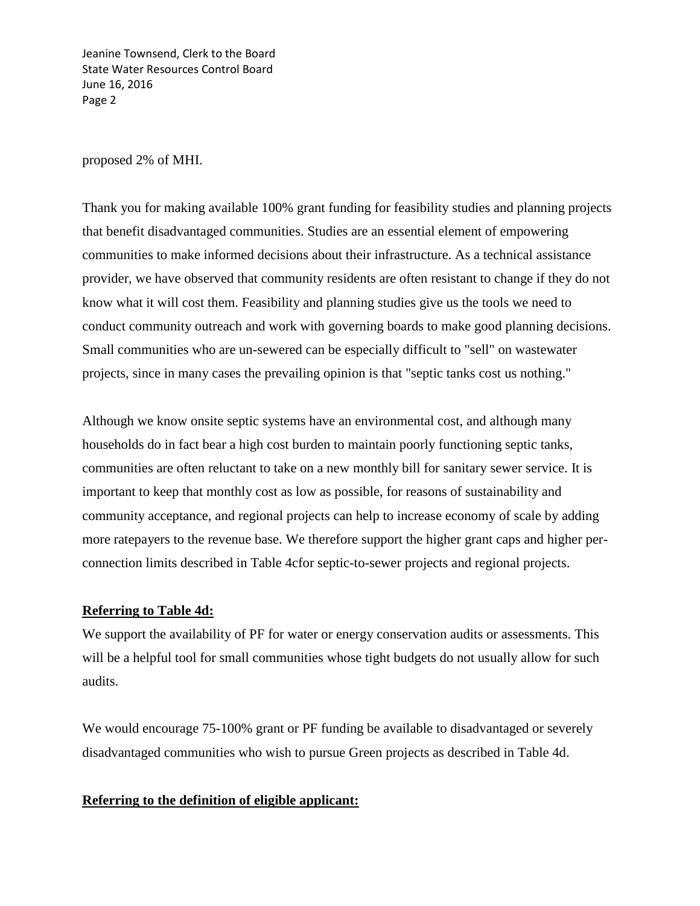Jeanine Townsend, Clerk to the Board State Water Resources Control Board June 16, 2016 Page 2

proposed 2% of MHI.

Thank you for making available 100% grant funding for feasibility studies and planning projects that benefit disadvantaged communities. Studies are an essential element of empowering communities to make informed decisions about their infrastructure. As a technical assistance provider, we have observed that community residents are often resistant to change if they do not know what it will cost them. Feasibility and planning studies give us the tools we need to conduct community outreach and work with governing boards to make good planning decisions. Small communities who are un-sewered can be especially difficult to "sell" on wastewater projects, since in many cases the prevailing opinion is that "septic tanks cost us nothing."

Although we know onsite septic systems have an environmental cost, and although many households do in fact bear a high cost burden to maintain poorly functioning septic tanks, communities are often reluctant to take on a new monthly bill for sanitary sewer service. It is important to keep that monthly cost as low as possible, for reasons of sustainability and community acceptance, and regional projects can help to increase economy of scale by adding more ratepayers to the revenue base. We therefore support the higher grant caps and higher perconnection limits described in Table 4cfor septic-to-sewer projects and regional projects.

## **Referring to Table 4d:**

We support the availability of PF for water or energy conservation audits or assessments. This will be a helpful tool for small communities whose tight budgets do not usually allow for such audits.

We would encourage 75-100% grant or PF funding be available to disadvantaged or severely disadvantaged communities who wish to pursue Green projects as described in Table 4d.

## **Referring to the definition of eligible applicant:**